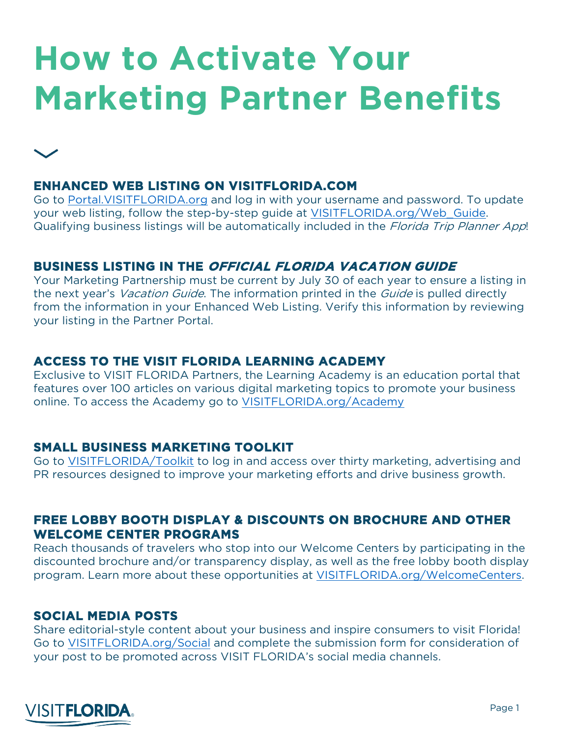# **How to Activate Your Marketing Partner Benefits**

# **ENHANCED WEB LISTING ON VISITFLORIDA.COM**

Go to Portal.VISITFLORIDA.org and log in with your username and password. To update your web listing, follow the step-by-step guide at VISITFLORIDA.org/Web\_Guide. Qualifying business listings will be automatically included in the Florida Trip Planner App!

## **BUSINESS LISTING IN THE OFFICIAL FLORIDA VACATION GUIDE**

Your Marketing Partnership must be current by July 30 of each year to ensure a listing in the next year's *Vacation Guide*. The information printed in the *Guide* is pulled directly from the information in your Enhanced Web Listing. Verify this information by reviewing your listing in the Partner Portal.

## **ACCESS TO THE VISIT FLORIDA LEARNING ACADEMY**

Exclusive to VISIT FLORIDA Partners, the Learning Academy is an education portal that features over 100 articles on various digital marketing topics to promote your business online. To access the Academy go to VISITFLORIDA.org/Academy

## **SMALL BUSINESS MARKETING TOOLKIT**

Go to VISITFLORIDA/Toolkit to log in and access over thirty marketing, advertising and PR resources designed to improve your marketing efforts and drive business growth.

#### **FREE LOBBY BOOTH DISPLAY & DISCOUNTS ON BROCHURE AND OTHER WELCOME CENTER PROGRAMS**

Reach thousands of travelers who stop into our Welcome Centers by participating in the discounted brochure and/or transparency display, as well as the free lobby booth display program. Learn more about these opportunities at VISITFLORIDA.org/WelcomeCenters.

## **SOCIAL MEDIA POSTS**

Share editorial-style content about your business and inspire consumers to visit Florida! Go to VISITFLORIDA.org/Social and complete the submission form for consideration of your post to be promoted across VISIT FLORIDA's social media channels.